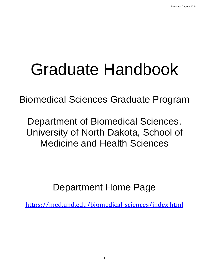# Graduate Handbook

Biomedical Sciences Graduate Program

Department of Biomedical Sciences, University of North Dakota, School of Medicine and Health Sciences

Department Home Page

<https://med.und.edu/biomedical-sciences/index.html>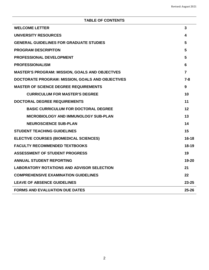## **TABLE OF CONTENTS**

| <b>WELCOME LETTER</b>                                 | 3              |
|-------------------------------------------------------|----------------|
| <b>UNIVERSITY RESOURCES</b>                           | 4              |
| <b>GENERAL GUIDELINES FOR GRADUATE STUDIES</b>        | 5              |
| <b>PROGRAM DESCRIPITON</b>                            | 5              |
| PROFESSIONAL DEVELOPMENT                              | 5              |
| <b>PROFESSIONALISM</b>                                | 6              |
| <b>MASTER'S PROGRAM: MISSION, GOALS AND OBJECTVES</b> | $\overline{7}$ |
| DOCTORATE PROGRAM: MISSION, GOALS AND OBJECTIVES      | $7 - 8$        |
| <b>MASTER OF SCIENCE DEGREE REQUIREMENTS</b>          | 9              |
| <b>CURRICULUM FOR MASTER'S DEGREE</b>                 | 10             |
| <b>DOCTORAL DEGREE REQUIREMENTS</b>                   | 11             |
| <b>BASIC CURRICULUM FOR DOCTORAL DEGREE</b>           | 12             |
| <b>MICROBIOLOGY AND IMMUNOLOGY SUB-PLAN</b>           | 13             |
| <b>NEUROSCIENCE SUB-PLAN</b>                          | 14             |
| <b>STUDENT TEACHING GUIDELINES</b>                    | 15             |
| <b>ELECTIVE COURSES (BIOMEDICAL SCIENCES)</b>         | $16 - 18$      |
| <b>FACULTY RECOMMENDED TEXTBOOKS</b>                  | $18-19$        |
| <b>ASSESSMENT OF STUDENT PROGRESS</b>                 | 19             |
| <b>ANNUAL STUDENT REPORTING</b>                       | 19-20          |
| <b>LABORATORY ROTATIONS AND ADVISOR SELECTION</b>     | 21             |
| <b>COMPREHENSIVE EXAMINATION GUIDELINES</b>           | 22             |
| <b>LEAVE OF ABSENCE GUIDELINES</b>                    | $23 - 25$      |
| <b>FORMS AND EVALUATION DUE DATES</b>                 | $25 - 26$      |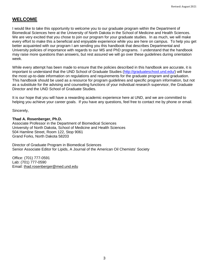## **WELCOME**

I would like to take this opportunity to welcome you to our graduate program within the Department of Biomedical Sciences here at the University of North Dakota in the School of Medicine and Health Sciences. We are very excited that you chose to join our program for your graduate studies. In as much, we will make every effort to make this a beneficial and enjoyable experience while you are here on campus. To help you get better acquainted with our program I am sending you this handbook that describes Departmental and University policies of importance with regards to our MS and PhD programs. I understand that the handbook may raise more questions than answers, but rest assured we will go over these guidelines during orientation week.

While every attempt has been made to ensure that the policies described in this handbook are accurate, it is important to understand that the UND School of Graduate Studies [\(http://graduateschool.und.edu/\)](http://graduateschool.und.edu/) will have the most up-to-date information on regulations and requirements for the graduate program and graduation. This handbook should be used as a resource for program guidelines and specific program information, but not as a substitute for the advising and counseling functions of your individual research supervisor, the Graduate Director and the UND School of Graduate Studies.

It is our hope that you will have a rewarding academic experience here at UND, and we are committed to helping you achieve your career goals. If you have any questions, feel free to contact me by phone or email.

Sincerely,

#### **Thad A. Rosenberger, Ph.D.**

Associate Professor in the Department of Biomedical Sciences University of North Dakota, School of Medicine and Health Sciences 504 Hamline Street, Room 122, Stop 9061 Grand Forks, North Dakota 58203

Director of Graduate Program in Biomedical Sciences Senior Associate Editor for Lipids, A Journal of the American Oil Chemists' Society

Office: (701) 777-0591 Lab: (701) 777-0590 Email: [thad.rosenberger@med.und.edu](mailto:thad.rosenberger@med.und.edu)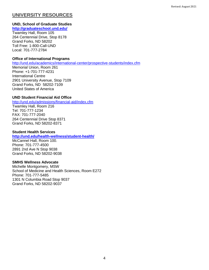# **UNIVERSITY RESOURCES**

## **UND, School of Graduate Studies**

## **<http://graduateschool.und.edu/>**

Twamley Hall, Room 105 264 Centennial Drive, Stop 8178 Grand Forks, ND 58202 Toll Free: 1-800-Call-UND Local: 701-777-2784

## **Office of International Programs**

<http://und.edu/academics/international-center/prospective-students/index.cfm>

Memorial Union, Room 261 Phone: +1-701-777-4231 International Centre 2901 University Avenue, Stop 7109 Grand Forks, ND 58202-7109 United States of America

## **UND Student Financial Aid Office**

<http://und.edu/admissions/financial-aid/index.cfm>

Twamley Hall, Room 216 Tel: 701-777-1234 FAX: 701-777-2040 264 Centennial Drive Stop 8371 Grand Forks, ND 58202-8371

#### **Student Health Services**

#### **<http://und.edu/health-wellness/student-health/>**

McCannel Hall, Room 100. Phone: 701-777-4500 2891 2nd Ave N Stop 9038 Grand Forks, ND 58202-9038

#### **SMHS Wellness Advocate**

Michelle Montgomery, MSW School of Medicine and Health Sciences, Room E272 Phone: 701-777-5485 1301 N Columbia Road Stop 9037 Grand Forks, ND 58202-9037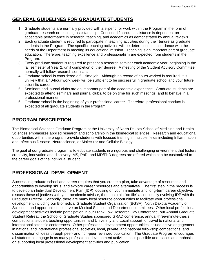# **GENERAL GUIDELINES FOR GRADUATE STUDENTS**

- 1. Graduate students are normally provided with a stipend for work within the Program in the form of graduate research or teaching assistantship. Continued financial assistance is dependent on acceptable performance in research, teaching, and academics as demonstrated by annual reviews.
- 2. Each graduate student is required to participate in teaching activities during their tenure as graduate students in the Program. The specific teaching activities will be determined in accordance with the needs of the Department in meeting its educational mission. Teaching is an important part of graduate education. Therefore, teaching excellence and professionalism are expected from students in the Program.
- 3. Every graduate student is required to present a research seminar each academic year, beginning in the fall semester of Year 2, until completion of their degree. A meeting of the Student Advisory Committee normally will follow research seminars.
- 4. Graduate school is considered a full time job. Although no record of hours worked is required, it is unlikely that a 40-hour work week will be sufficient to be successful in graduate school and your future scientific career.
- 5. Seminars and journal clubs are an important part of the academic experience. Graduate students are expected to attend seminars and journal clubs, to be on time for such meetings, and to behave in a professional manner.
- 6. Graduate school is the beginning of your professional career. Therefore, professional conduct is expected of all graduate students in the Program.

# **PROGRAM DESCRIPTION**

The Biomedical Sciences Graduate Program at the University of North Dakota School of Medicine and Health Sciences emphasizes applied research and scholarship in the biomedical sciences. Research and educational opportunities within the program provide students with focused training in multiple fields including Inflammation and Infectious Disease, Neuroscience, or Molecular and Cellular Biology.

The goal of our graduate program is to educate students in a rigorous and challenging environment that fosters creativity, innovation and discovery. MS, PhD, and MD/PhD degrees are offered which can be customized to the career goals of the individual student.

# **PROFESSIONAL DEVELOPMENT**

Success in graduate school and career requires that you create a plan, take advantage of resources and opportunities to develop skills, and explore career resources and alternatives. The first step in the process is to develop an Individual Development Plan (IDP) focusing on your immediate and long-term career objective, discuss these objectives with your academic advisor, then maintain "on file" a continually evolving IDP with the Graduate Director. Secondly, there are many local resource opportunities to facilitate your professional development including our Biomedical Graduate Student Organization (BGSA), North Dakota Academy of Sciences, and opportunities to serve on Medical School and Department committees. Other local professional development activities include participation in our Frank Low Research Day Conference, our Annual Graduate Student Retreat, the School of Graduate Studies sponsored GRAD conference, annual three-minute-thesis competitions, student teaching opportunities, and University and Local support for travel to national and international scientific conferences. Other professional development opportunities include active engagement in national and international professional societies, local, private, and national fellowship competitions, and dissemination of ideas through peer- and non-peer reviewed publication. The Graduate Program encourages all students to engage in as many professional development activities as is possible and places an emphasis on supporting local professional development activities and publication.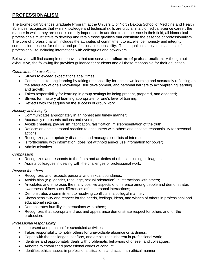## **PROFESSIONALISM**

The Biomedical Sciences Graduate Program at the University of North Dakota School of Medicine and Health Sciences recognizes that while knowledge and technical skills are crucial in a biomedical science career, the manner in which they are used is equally important. In addition to competence in their field, all biomedical professionals must strive to develop and retain those qualities that constitute the essence of professionalism. The core of professionalism includes the attributes of commitment to excellence, honesty and integrity, compassion, respect for others, and professional responsibility. These qualities apply to all aspects of professional life including interactions with colleagues and coworkers.

Below you will find example of behaviors that can serve as **indicators of professionalism**. Although not exhaustive, the following list provides guidance for students and all those responsible for their education.

#### *Commitment to excellence*

- Strives to exceed expectations at all times;
- Commits to life-long learning by taking responsibility for one's own learning and accurately reflecting on the adequacy of one's knowledge, skill development, and personal barriers to accomplishing learning and growth;
- Takes responsibility for learning in group settings by being present, prepared, and engaged;
- Strives for mastery of learning appropriate for one's level of training;
- Reflects with colleagues on the success of group work.

## *Honesty and integrity*

- Communicates appropriately in an honest and timely manner;
- Accurately represents actions and events;
- Avoids cheating, plagiarism, fabrication, falsification, misrepresentation of the truth;
- Reflects on one's personal reaction to encounters with others and accepts responsibility for personal actions;
- Recognizes, appropriately discloses, and manages conflicts of interest;
- Is forthcoming with information, does not withhold and/or use information for power;
- Admits mistakes.

#### *Compassion*

- Recognizes and responds to the fears and anxieties of others including colleagues;
- Assists colleagues in dealing with the challenges of professional work.

#### *Respect for others*

- Recognizes and respects personal and sexual boundaries;
- Avoids bias (e.g. gender, race, age, sexual orientation) in interactions with others;
- Articulates and embraces the many positive aspects of difference among people and demonstrates awareness of how such differences affect personal interactions;
- Demonstrates a commitment to resolving conflicts in a collegial manner;
- Shows sensitivity and respect for the needs, feelings, ideas, and wishes of others in professional and educational settings;
- Demonstrates humility in interactions with others;
- Recognizes that appropriate dress and appearance demonstrate respect for others and for the profession.

## *Professional responsibility*

- Is present and punctual for scheduled activities;
- Takes responsibility to notify others for unavoidable absence or tardiness;
- Copes with the challenges, conflicts, and ambiguities inherent in professional work;
- Identifies and appropriately deals with problematic behaviors of oneself and colleagues;
- Adheres to established professional codes of conduct;
- Identifies ethical issues in professional situations and acts in an ethical manner.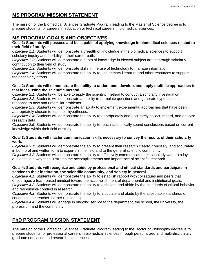# **MS PROGRAM MISSION STATEMENT**

The mission of the Biomedical Sciences Graduate Program leading to the Master of Science degree is to prepare students for careers in education or technical careers in biomedical sciences.

# **MS PROGRAM GOALS AND OBJECTIVES**

#### **Goal 1: Students will possess and be capable of applying knowledge in biomedical sciences related to their field of study.**

*Objective 1.1*: Students will demonstrate a breadth of knowledge in the biomedical sciences to support scholarly inquiry and flexibility in their career path.

*Objective 1.2*: Students will demonstrate a depth of knowledge in elected subject areas through scholarly contribution to their field of study.

*Objective 1.3*: Students will demonstrate skills in the use of technology to manage information. *Objective 1.4*: Students will demonstrate the ability to use primary literature and other resources to support their scholarly efforts.

## **Goal 2: Students will demonstrate the ability to understand, develop, and apply multiple approaches to test ideas using the scientific method.**

*Objective 2.1*: Students will be able to apply the scientific method to conduct a scholarly investigation. *Objective 2.2*: Students will demonstrate an ability to formulate questions and generate hypotheses in response to new and unfamiliar problems.

*Objective 2.3*: Students will demonstrate an ability to implement experimental approaches that have been appropriately chosen to test their hypotheses.

*Objective 2.4*: Students will demonstrate the ability to appropriately and accurately collect, record, and analyze research data.

*Objective 2.5*: Students will demonstrate the ability to reach scientifically sound conclusions based on current knowledge within their field of study.

## **Goal 3: Students will master communication skills necessary to convey the results of their scholarly work.**

*Objective 3.1*: Students will demonstrate the ability to present their research clearly, concisely, and accurately in both oral and written form to experts in the field and to the general scientific community.

*Objective 3.2*: Students will demonstrate the ability to effectively communicate their scholarly work to a lay audience in a way that illustrates the accomplishments and importance of scientific research.

## **Goal 4: Students will recognize and abide by professional and ethical standards and participate in service to their institution, the scientific community, and society in general.**

*Objective 4.1*: Students will demonstrate the ability to establish rapport with colleagues and peers that encourages a team-based mindset toward the accomplishment of departmental and institutional goals. *Objective 4.2*: Students will demonstrate the ability to articulate and abide by the standards of ethical behavior and responsible conduct in research.

*Objective 4.3*: Students will demonstrate the ability to articulate and abide by the acceptable standards of conduct in the teacher-learner relationship.

*Objective 4.4*: Students will engage in ongoing service to the department, the school, the university, the profession, and the community.

# **PhD PROGRAM MISSION STATEMENT**

The mission of the Biomedical Sciences Graduate Program leading to the Doctor of Philosophy degree is to prepare students for professional careers in biomedical sciences through personalized and multi-disciplinary graduate education and research experiences.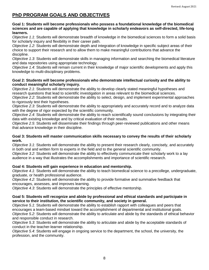# **PhD PROGRAM GOALS AND OBJECTIVES**

#### **Goal 1: Students will become professionals who possess a foundational knowledge of the biomedical sciences and are capable of applying that knowledge in scholarly endeavors as self-directed, life-long learners.**

*Objective 1.1*: Students will demonstrate breadth of knowledge in the biomedical sciences to form a solid basis for scholarly inquiry and flexibility in their career path.

*Objective 1.2*: Students will demonstrate depth and integration of knowledge in specific subject areas of their choice to support their research and to allow them to make meaningful contributions that advance the discipline.

*Objective 1.3*: Students will demonstrate skills in managing information and searching the biomedical literature and data repositories using appropriate technology.

*Objective 1.4*: Students will remain current in their knowledge of major scientific developments and apply this knowledge to multi-disciplinary problems.

#### **Goal 2: Students will become professionals who demonstrate intellectual curiosity and the ability to conduct meaningful scholarly inquiry.**

*Objective 2.1*: Students will demonstrate the ability to develop clearly stated meaningful hypotheses and research questions that lead to scientific investigation in areas relevant to the biomedical sciences.

*Objective 2.2*: Students will demonstrate the ability to select, design, and implement experimental approaches to rigorously test their hypotheses.

*Objective 2.3*: Students will demonstrate the ability to appropriately and accurately record and to analyze data with the degree of rigor expected by the scientific community.

*Objective 2.4*: Students will demonstrate the ability to reach scientifically sound conclusions by integrating their data with existing knowledge and by critical evaluation of their results.

*Objective 2.5*: Students will disseminate their findings through peer-reviewed publications and other means that advance knowledge in their discipline.

#### **Goal 3: Students will master communication skills necessary to convey the results of their scholarly work.**

*Objective 3.1*: Students will demonstrate the ability to present their research clearly, concisely, and accurately in both oral and written form to experts in the field and to the general scientific community.

*Objective 3.2*: Students will demonstrate the ability to effectively communicate their scholarly work to a lay audience in a way that illustrates the accomplishments and importance of scientific research.

## **Goal 4: Students will gain experience in education and mentorship.**

*Objective 4.1*: Students will demonstrate the ability to teach biomedical science to a precollege, undergraduate, graduate, or health professional audience.

*Objective 4.2*: Students will demonstrate the ability to provide formative and summative feedback that encourages, assesses, and improves learning.

*Objective 4.3*: Students will demonstrate the principles of effective mentorship.

#### **Goal 5: Students will recognize and abide by professional and ethical standards and participate in service to their institution, the scientific community, and society in general.**

*Objective 5.1*: Students will demonstrate the ability to establish rapport with colleagues and peers that encourages a team-based mindset toward the accomplishment of departmental and institutional goals. *Objective 5.2*: Students will demonstrate the ability to articulate and abide by the standards of ethical behavior and responsible conduct in research.

*Objective 5.3*: Students will demonstrate the ability to articulate and abide by the acceptable standards of conduct in the teacher-learner relationship.

*Objective 5.4*: Students will engage in ongoing service to the department, the school, the university, the profession, and the community.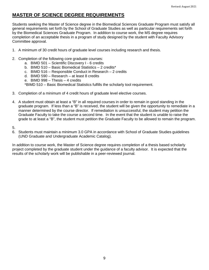# **MASTER OF SCIENCE DEGREE REQUIREMENTS**

Students seeking the Master of Science degree in the Biomedical Sciences Graduate Program must satisfy all general requirements set forth by the School of Graduate Studies as well as particular requirements set forth by the Biomedical Sciences Graduate Program. In addition to course work, the MS degree requires completion of an acceptable thesis in a program of study designed by the student with Faculty Advisory Committee approval.

- 1. A minimum of 30 credit hours of graduate level courses including research and thesis.
- 2. Completion of the following core graduate courses:
	- a. BIMD 501 Scientific Discovery I 6 credits
	- b. BIMD 510 Basic Biomedical Statistics 2 credits\*
	- c. BIMD 516 Responsible Conduct in Research 2 credits
	- d. BIMD 590 Research at least 8 credits
	- e. BIMD 998 Thesis 4 credits

\*BIMD 510 – Basic Biomedical Statistics fulfills the scholarly tool requirement.

- 3. Completion of a minimum of 4 credit hours of graduate level elective courses.
- 4. A student must obtain at least a "B" in all required courses in order to remain in good standing in the graduate program. If less than a "B" is received, the student will be given the opportunity to remediate in a manner determined by the course director. If remediation is unsuccessful, the student may petition the Graduate Faculty to take the course a second time. In the event that the student is unable to raise the grade to at least a "B", the student must petition the Graduate Faculty to be allowed to remain the program.
- 5.
- 6. Students must maintain a minimum 3.0 GPA in accordance with School of Graduate Studies guidelines (UND Graduate and Undergraduate Academic Catalog).

In addition to course work, the Master of Science degree requires completion of a thesis based scholarly project completed by the graduate student under the guidance of a faculty advisor. It is expected that the results of the scholarly work will be publishable in a peer-reviewed journal.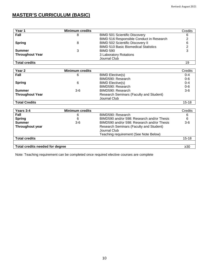# **MASTER'S CURRICULUM (BASIC)**

| Year 1                 | <b>Minimum credits</b> |                                             | Credits |
|------------------------|------------------------|---------------------------------------------|---------|
| Fall                   | 8                      | <b>BIMD 501 Scientific Discovery</b>        | 6       |
|                        |                        | BIMD 516 Responsible Conduct in Research    |         |
| <b>Spring</b>          | 8                      | <b>BIMD 502 Scientific Discovery II</b>     |         |
|                        |                        | <b>BIMD 510 Basic Biomedical Statistics</b> |         |
| Summer                 | 3                      | <b>BIMD 590</b>                             |         |
| <b>Throughout Year</b> |                        | 3 Laboratory Rotations                      |         |
|                        |                        | Journal Club                                |         |
| <b>Total credits</b>   |                        |                                             | 19      |

| Year <sub>2</sub>      | <b>Minimum credits</b> |                                                | Credits   |
|------------------------|------------------------|------------------------------------------------|-----------|
| Fall                   | 6                      | <b>BIMD Elective(s)</b>                        | $0 - 4$   |
|                        |                        | BIMD590: Research                              | $0 - 6$   |
| <b>Spring</b>          | 6                      | <b>BIMD Elective(s)</b>                        | $0 - 4$   |
|                        |                        | BIMD590: Research                              | $0 - 6$   |
| <b>Summer</b>          | $3-6$                  | BIMD590: Research                              | $3-6$     |
| <b>Throughout Year</b> |                        | <b>Research Seminars (Faculty and Student)</b> |           |
|                        |                        | Journal Club                                   |           |
| <b>Total Credits</b>   |                        |                                                | $15 - 18$ |

| Years 3-4                       | <b>Minimum credits</b> |                                                                | Credits   |
|---------------------------------|------------------------|----------------------------------------------------------------|-----------|
| Fall                            | 6                      | BIMD590: Research                                              | 6         |
| <b>Spring</b>                   | 6                      | BIMD590 and/or 598: Research and/or Thesis                     | 6         |
| <b>Summer</b>                   | $3-6$                  | BIMD590 and/or 598: Research and/or Thesis                     | $3-6$     |
| Throughout year                 |                        | <b>Research Seminars (Faculty and Student)</b><br>Journal Club |           |
|                                 |                        | Teaching requirement (See Note Below)                          |           |
| <b>Total credits</b>            |                        |                                                                | $15 - 18$ |
|                                 |                        |                                                                |           |
| Total credits needed for degree |                        |                                                                | $\geq 30$ |

Note: Teaching requirement can be completed once required elective courses are complete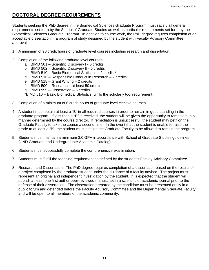# **DOCTORAL DEGREE REQUIREMENTS**

Students seeking the PhD degree in the Biomedical Sciences Graduate Program must satisfy all general requirements set forth by the School of Graduate Studies as well as particular requirements set forth by the Biomedical Sciences Graduate Program. In addition to course work, the PhD degree requires completion of an acceptable dissertation in a program of study designed by the student with Faculty Advisory Committee approval.

- 1. A minimum of 90 credit hours of graduate level courses including research and dissertation.
- 2. Completion of the following graduate level courses:
	- a. BIMD 501 Scientific Discovery I 6 credits
	- b. BIMD 502 Scientific Discovery II 6 credits
	- c. BIMD 510 Basic Biomedical Statistics 2 credits\*
	- d. BIMD 516 Responsible Conduct in Research 2 credits
	- e. BIMD 518 Grant Writing 2 credits
	- f. BIMD 590 Research at least 50 credits
	- g. BIMD 999 Dissertation 6 credits
	- \*BIMD 510 Basic Biomedical Statistics fulfills the scholarly tool requirement.
- 3. Completion of a minimum of 6 credit hours of graduate level elective courses.
- 4. A student must obtain at least a "B" in all required courses in order to remain in good standing in the graduate program. If less than a "B" is received, the student will be given the opportunity to remediate in a manner determined by the course director. If remediation is unsuccessful, the student may petition the Graduate Faculty to take the course a second time. In the event that the student is unable to raise the grade to at least a "B", the student must petition the Graduate Faculty to be allowed to remain the program.
- 5. Students must maintain a minimum 3.0 GPA in accordance with School of Graduate Studies guidelines (UND Graduate and Undergraduate Academic Catalog).
- 6. Students must successfully complete the comprehensive examination.
- 7. Students must fulfill the teaching requirement as defined by the student's Faculty Advisory Committee.
- 8. Research and Dissertation: The PhD degree requires completion of a dissertation based on the results of a project completed by the graduate student under the guidance of a faculty advisor. The project must represent an original and independent investigation by the student. It is expected that the student will publish at least one first author peer-reviewed manuscript in a scientific or academic journal prior to the defense of their dissertation. The dissertation prepared by the candidate must be presented orally in a public forum and defended before the Faculty Advisory Committee and the Departmental Graduate Faculty and will be open to all members of the academic community.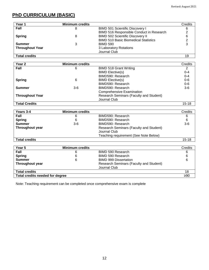# **PhD CURRICULUM (BASIC)**

| Year 1                 | <b>Minimum credits</b> |                                             | Credits |
|------------------------|------------------------|---------------------------------------------|---------|
| Fall                   | 8                      | <b>BIMD 501 Scientific Discovery I</b>      |         |
|                        |                        | BIMD 516 Responsible Conduct in Research    |         |
| <b>Spring</b>          |                        | <b>BIMD 502 Scientific Discovery II</b>     |         |
|                        |                        | <b>BIMD 510 Basic Biomedical Statistics</b> |         |
| <b>Summer</b>          |                        | <b>BIMD 590</b>                             |         |
| <b>Throughout Year</b> |                        | 3 Laboratory Rotations                      |         |
|                        |                        | Journal Club                                |         |
| <b>Total credits</b>   |                        |                                             | 19      |

| Year 2                 | <b>Minimum credits</b> |                                                | Credits   |
|------------------------|------------------------|------------------------------------------------|-----------|
| Fall                   | 6                      | <b>BIMD 518 Grant Writing</b>                  | 2         |
|                        |                        | <b>BIMD Elective(s)</b>                        | $0 - 4$   |
|                        |                        | BIMD590: Research                              | $0 - 4$   |
| <b>Spring</b>          | 6                      | <b>BIMD Elective(s)</b>                        | $0 - 6$   |
|                        |                        | BIMD590: Research                              | $0 - 6$   |
| <b>Summer</b>          | $3-6$                  | BIMD590: Research                              | $3-6$     |
|                        |                        | <b>Comprehensive Examination</b>               |           |
| <b>Throughout Year</b> |                        | <b>Research Seminars (Faculty and Student)</b> |           |
|                        |                        | Journal Club                                   |           |
| <b>Total Credits</b>   |                        |                                                | $15 - 18$ |

| Years 3-4              | <b>Minimum credits</b> |                                                                                                  | Credits   |
|------------------------|------------------------|--------------------------------------------------------------------------------------------------|-----------|
| Fall                   | 6                      | BIMD590: Research                                                                                | 6         |
| <b>Spring</b>          | 6                      | BIMD590: Research                                                                                |           |
| <b>Summer</b>          | $3-6$                  | BIMD590: Research                                                                                | $3-6$     |
| <b>Throughout year</b> |                        | Research Seminars (Faculty and Student)<br>Journal Club<br>Teaching requirement (See Note Below) |           |
| <b>Total credits</b>   |                        |                                                                                                  | $15 - 18$ |

| Year 5                          | <b>Minimum credits</b> |                                         | Credits |
|---------------------------------|------------------------|-----------------------------------------|---------|
| Fall                            | 6                      | BIMD 590 Research                       |         |
| <b>Spring</b>                   |                        | BIMD 590 Research                       |         |
| <b>Summer</b>                   | 6                      | <b>BIMD 999 Dissertation</b>            |         |
| <b>Throughout year</b>          |                        | Research Seminars (Faculty and Student) |         |
|                                 |                        | Journal Club                            |         |
| <b>Total credits</b>            |                        |                                         | 18      |
| Total credits needed for degree |                        | ≥90                                     |         |

Note: Teaching requirement can be completed once comprehensive exam is complete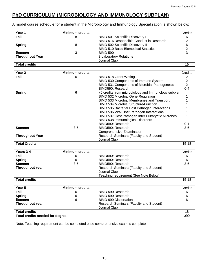# **PhD CURRICULUM (MICROBIOLOGY AND IMMUNOLOGY SUBPLAN)**

A model course schedule for a student in the Microbiology and Immunology Specialization is shown below:

| Year 1                 | <b>Minimum credits</b> |                                             | Credits |
|------------------------|------------------------|---------------------------------------------|---------|
| Fall                   | 8                      | <b>BIMD 501 Scientific Discovery I</b>      | 6       |
|                        |                        | BIMD 516 Responsible Conduct in Research    |         |
| <b>Spring</b>          |                        | <b>BIMD 502 Scientific Discovery II</b>     |         |
|                        |                        | <b>BIMD 510 Basic Biomedical Statistics</b> |         |
| <b>Summer</b>          |                        | <b>BIMD 590</b>                             |         |
| <b>Throughout Year</b> |                        | 3 Laboratory Rotations                      |         |
|                        |                        | Journal Club                                |         |
| <b>Total credits</b>   |                        |                                             | 19      |

| Year <sub>2</sub>      | <b>Minimum credits</b> |                                                      | Credits |
|------------------------|------------------------|------------------------------------------------------|---------|
| Fall                   | 6                      | <b>BIMD 518 Grant Writing</b>                        |         |
|                        |                        | BIMD 530 Components of Immune System                 |         |
|                        |                        | BIMD 531 Components of Microbial Pathogenesis        | 2       |
|                        |                        | BIMD590: Research                                    | $0 - 4$ |
| <b>Spring</b>          | 6                      | ≥5 credits from microbiology and Immunology subplan  |         |
|                        |                        | <b>BIMD 532 Microbial Gene Regulation</b>            |         |
|                        |                        | BIMD 533 Microbial Membranes and Transport           |         |
|                        |                        | <b>BIMD 534 Microbial Structure/Function</b>         |         |
|                        |                        | <b>BIMD 535 Bacterial Host Pathogen Interactions</b> |         |
|                        |                        | BIMD 536 Viral Host Pathogen Interactions            |         |
|                        |                        | BIMD 537 Host Pathogen Inter Eukaryotic Microbes     |         |
|                        |                        | <b>BIMD 538 immunological Disorders</b>              |         |
|                        |                        | BIMD590: Research                                    | 0-1     |
| Summer                 | $3-6$                  | BIMD590: Research                                    | 3-6     |
|                        |                        | <b>Comprehensive Examination</b>                     |         |
| <b>Throughout Year</b> |                        | Research Seminars (Faculty and Student)              |         |
|                        |                        | Journal Club                                         |         |
| <b>Total Credits</b>   |                        |                                                      | 15-18   |

| Years 3-4            | <b>Minimum credits</b> |                                                         | Credits   |
|----------------------|------------------------|---------------------------------------------------------|-----------|
| Fall                 | 6                      | BIMD590: Research                                       | 6         |
| <b>Spring</b>        | 6                      | BIMD590: Research                                       | 6         |
| <b>Summer</b>        | $3-6$                  | BIMD590: Research                                       | $3-6$     |
| Throughout year      |                        | Research Seminars (Faculty and Student)<br>Journal Club |           |
|                      |                        | Teaching requirement (See Note Below)                   |           |
| <b>Total credits</b> |                        |                                                         | $15 - 18$ |

| Year 5                          | <b>Minimum credits</b> |                                                | Credits |
|---------------------------------|------------------------|------------------------------------------------|---------|
| Fall                            | 6                      | BIMD 590 Research                              |         |
| <b>Spring</b>                   | 6                      | BIMD 590 Research                              |         |
| <b>Summer</b>                   | 6                      | <b>BIMD 999 Dissertation</b>                   |         |
| <b>Throughout year</b>          |                        | <b>Research Seminars (Faculty and Student)</b> |         |
|                                 |                        | Journal Club                                   |         |
| <b>Total credits</b>            |                        |                                                | 18      |
| Total credits needed for degree |                        |                                                | ≥90     |

Note: Teaching requirement can be completed once comprehensive exam is complete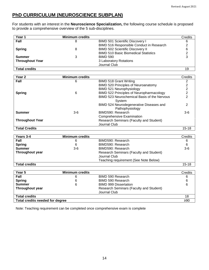# **PhD CURRICULUM (NEUROSCIENCE SUBPLAN)**

For students with an interest in the **Neuroscience Specialization,** the following course schedule is proposed to provide a comprehensive overview of the 5 sub-disciplines.

| Year 1                 | <b>Minimum credits</b> |                                             | Credits |
|------------------------|------------------------|---------------------------------------------|---------|
| Fall                   |                        | <b>BIMD 501 Scientific Discovery I</b>      |         |
|                        |                        | BIMD 516 Responsible Conduct in Research    |         |
| <b>Spring</b>          |                        | <b>BIMD 502 Scientific Discovery II</b>     |         |
|                        |                        | <b>BIMD 510 Basic Biomedical Statistics</b> |         |
| <b>Summer</b>          |                        | <b>BIMD 590</b>                             |         |
| <b>Throughout Year</b> |                        | 3 Laboratory Rotations                      |         |
|                        |                        | Journal Club                                |         |
| <b>Total credits</b>   |                        |                                             | 19      |

| Year <sub>2</sub>      | <b>Minimum credits</b> |                                                            | Credits   |
|------------------------|------------------------|------------------------------------------------------------|-----------|
| Fall                   | 6                      | <b>BIMD 518 Grant Writing</b>                              | 2         |
|                        |                        | BIMD 520 Principles of Neuroanatomy                        |           |
|                        |                        | BIMD 521 Neurophysiology                                   |           |
| <b>Spring</b>          | 6                      | BIMD 522 Principles of Neuropharmacology                   |           |
|                        |                        | BIMD 523 Neurochemical Basis of the Nervous<br>System      |           |
|                        |                        | BIMD 524 Neurodegenerative Diseases and<br>Pathophysiology | 2         |
| <b>Summer</b>          | 3-6                    | BIMD590: Research                                          | $3-6$     |
|                        |                        | <b>Comprehensive Examination</b>                           |           |
| <b>Throughout Year</b> |                        | Research Seminars (Faculty and Student)                    |           |
|                        |                        | Journal Club                                               |           |
| <b>Total Credits</b>   |                        |                                                            | $15 - 18$ |

| Years 3-4              | <b>Minimum credits</b> |                                                | Credits   |
|------------------------|------------------------|------------------------------------------------|-----------|
| Fall                   | 6                      | BIMD590: Research                              | 6         |
| <b>Spring</b>          | 6                      | BIMD590: Research                              | 6         |
| <b>Summer</b>          | $3-6$                  | BIMD590: Research                              | $3-6$     |
| <b>Throughout year</b> |                        | <b>Research Seminars (Faculty and Student)</b> |           |
|                        |                        | Journal Club                                   |           |
|                        |                        | Teaching requirement (See Note Below)          |           |
| <b>Total credits</b>   |                        |                                                | $15 - 18$ |

| Year 5                          | <b>Minimum credits</b> |                                                         | Credits |
|---------------------------------|------------------------|---------------------------------------------------------|---------|
| Fall                            | 6                      | BIMD 590 Research                                       | 6       |
| <b>Spring</b>                   | 6                      | BIMD 590 Research                                       | 6       |
| <b>Summer</b>                   | 6                      | <b>BIMD 999 Dissertation</b>                            | 6       |
| <b>Throughout year</b>          |                        | Research Seminars (Faculty and Student)<br>Journal Club |         |
| <b>Total credits</b>            |                        |                                                         | 18      |
| Total credits needed for degree |                        |                                                         | ≥90     |

Note: Teaching requirement can be completed once comprehensive exam is complete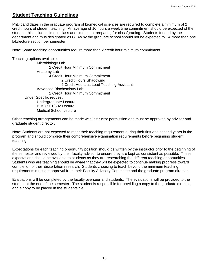## **Student Teaching Guidelines**

PhD candidates in the graduate program of biomedical sciences are required to complete a minimum of 2 credit hours of student teaching. An average of 10 hours a week time commitment should be expected of the student, this includes time in class and time spent preparing for class/grading. Students funded by the department and thus designated as GTAs by the graduate school should not be expected to TA more than one lab/lecture section per semester.

Note: Some teaching opportunities require more than 2 credit hour minimum commitment.

Teaching options available:

Microbiology Lab 2 Credit Hour Minimum Commitment Anatomy Lab 4 Credit Hour Minimum Commitment 2 Credit Hours Shadowing 2 Credit Hours as Lead Teaching Assistant Advanced Biochemistry Lab 2 Credit Hour Minimum Commitment Under Specific request: Undergraduate Lecture BIMD 501/502 Lecture Medical School Lecture

Other teaching arrangements can be made with instructor permission and must be approved by advisor and graduate student director.

Note: Students are not expected to meet their teaching requirement during their first and second years in the program and should complete their comprehensive examination requirements before beginning student teaching.

Expectations for each teaching opportunity position should be written by the instructor prior to the beginning of the semester and reviewed by their faculty advisor to ensure they are kept as consistent as possible. These expectations should be available to students as they are researching the different teaching opportunities. Students who are teaching should be aware that they will be expected to continue making progress toward completion of their dissertation research. Students choosing to teach beyond the minimum teaching requirements must get approval from their Faculty Advisory Committee and the graduate program director.

Evaluations will be completed by the faculty overseer and students. The evaluations will be provided to the student at the end of the semester. The student is responsible for providing a copy to the graduate director, and a copy to be placed in the students file.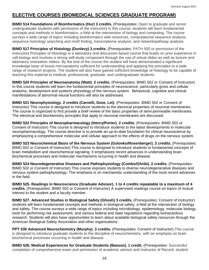## **ELECTIVE COURSES (BIOMEDICAL SCIENCES GRADUATE PROGRAM)**

**BIMD 514 Foundations of Bioinformatics (Hur) 3 credits.** (Prerequisites: Open to graduate and senior undergraduate students with permission of the instructor) In this course, students will learn fundamental concepts and methods in bioinformatics, a field at the intersection of biology and computing. The course surveys a wide range of topics including bioinformatics web resources, computational sequence analysis, sequence homology searching and motif finding, transcriptome analysis, and network/pathway analysis.

**BIMD 517 Principles of Histology (Dunlevy) 3 credits.** (Prerequisites: PATH 500 or permission of the instructor) Principles of Histology is a laboratory and discussion based course that builds on prior experience in cell biology and involves a strong self-study component through the use of virtual slides as well as lecture and laboratory orientation videos. By the end of the course the student will have demonstrated a significant knowledge base of tissue microanatomy sufficient for understanding and applying the principles to a wide range of research projects. The student will also have gained sufficient knowledge of histology to be capable of teaching this material to medical, professional, graduate, and undergraduate students.

**BIMD 520 Principles of Neuroanatomy (Watt). 2 credits.** (Prerequisites: BIMD 502 or Consent of Instructor) In this course students will learn the fundamental principles of neuroscience, particularly gross and cellular anatomy, development and systems physiology of the nervous system. Behavioral, cognitive and clinical manifestations of abnormal neural functions will also be addressed.

**BIMD 521 Neurophysiology. 2 credits (Carvelli, Doze, Lei).** (Prerequisites: BIMD 502 or Consent of Instructor) This course is designed to introduce students to the electrical properties of neuronal membranes. The course is organized to first provide a brief review of the basic properties of semi-permeable membranes. The electrical and biochemistry principles that apply to neuronal membranes are discussed.

**BIMD 522 Principles of Neuropharmacology (Henry/Porter). 2 credits.** (Prerequisites: BIMD 502 or Consent of Instructor) This course is designed to introduce students to the latest developments in molecular neuropharmacology. The course directive is to provide an up-to-date foundation for clinical neuroscience by emphasizing a comprehensive molecular and cellular approach to the effects of drugs on the nervous system.

**BIMD 523 Neurochemical Basis of the Nervous System (Golovko/Rosenberger). 2 credits.** (Prerequisites: BIMD 502 or Consent of Instructor) This course is designed to introduce students to fundamental concepts of brain metabolism and neurochemical signaling. It emphasizes recent advances in understanding brain biochemical processes and molecular mechanisms occurring in health and disease.

**BIMD 524 Neurodegenerative Diseases and Pathophysiology (Combs/Ghribi). 2 credits.** (Prerequisites: BIMD 502 or Consent of Instructor) This course exposes students to diverse neurodegenerative diseases and nervous system pathophysiology. The emphasis is on mechanistic understanding of the most recent advances in the field.

**BIMD 525. Readings in Neuroscience (Graduate Advisor). 1 to 4 credits repeatable to a maximum of 4 credits.** (Prerequisites: BIMD 502 or Consent of Instructor) A supervised readings course on topics of mutual interest to the student and a faculty member.

**BIMD 527. Advanced Studies in Biological Safety (Ghosh) 3 credits.** (Prerequisites: Consent of Instructor) students will learn fundamental concepts and methods in biological safety, a field at the intersection of biology and safety. The course surveys a wide range of topics including microbiology, epidemiology, molecular biology, tools for performing risk assessment, and various federal and state regulations regarding biohazardous research. Students will also have opportunities to learn about available biological safety resources through the American Biological Safety Association and other organizations.

**PPT 530 Advanced Neurochemistry (Murphy). 3 credits.** (Prerequisites: Consent of Instructor) This course is designed to introduce graduate students to the discipline of neurochemistry, with an emphasis on brain biochemical processes occurring in health and disease.

**BIMD 526. Medical Experiences for Graduate Students (Basson). 1 credit.** (Prerequisites: Successful completion of comprehensive exam and permission of academic advisor and Instructor of Record; student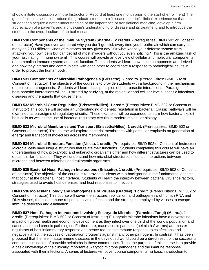should initiate discussion with the Instructor of Record at least one month prior to the start of enrollment) The goal of this course is to introduce the graduate student to a "disease-specific" clinical experience so that the student can acquire a better understanding of the importance of translational medicine, develop a firm appreciation of a patient's and a physician's understanding of disease and its treatment, and to introduce the student to the overall culture of clinical research.

**BIMD 530 Components of the Immune System (Sharma). 2 credits.** (Prerequisites: BIMD 502 or Consent of Instructor) Have you ever wondered why you don't get sick every time you breathe air which can carry as many as 2000 different kinds of microbes on any given day? Or what keeps your defense system from attacking your own cells but can get rid of most invaders without you even noticing? This is the amazing task of your fascinating immune system! This course will provide an overview of cellular and molecular components of mammalian immune system and their function. The students will learn how these components are derived and how they interact and communicate with each other to coordinate a response to pathological insults in order to protect the human body.

**BIMD 531 Components of Microbial Pathogenesis (Brissette). 2 credits.** (Prerequisites: BIMD 502 or Consent of Instructor) The objective of the course is to provide students with a background in the mechanisms of microbial pathogenesis. Students will learn basic principles of host-parasite interactions. Paradigms of host-parasite interactions will be illustrated by studying, at the molecular and cellular levels, specific infectious diseases and the agents that cause them.

**BIMD 532 Microbial Gene Regulation (Brissette/Nilles). 1 credit.** (Prerequisites: BIMD 502 or Consent of Instructor) This course will provide an understanding of genetic regulation in bacteria. Classic pathways will be examined as paradigms of regulatory circuits. These examples will be expanded to learn how bacteria exploit host cells as well as the use of bacterial regulatory circuits in modern molecular biology.

**BIMD 533 Microbial Membranes and Transport (Brissette/Nilles). 1 credit.** (Prerequisites: BIMD 502 or Consent of Instructor) This course will explore bacterial membranes with particular emphasis on generation of energy and transport of molecules across the membranes.

**BIMD 534 Microbial Structure/Function (Nilles). 1 credit,** (Prerequisites: BIMD 502 or Consent of Instructor) Microbial cells have unique structures that relate their functions. Students completing this course will have an understanding of how prokaryotic and eukaryotic organisms differ and how different structures can be used to obtain similar functions. They will understand how microbial structures influence interactions between microbes and between microbes and eukaryotic organisms.

**BIMD 535 Bacterial Host: Pathogen Interactions (Brissette). 1 credit.** (Prerequisites: BIMD 502 or Consent of Instructor) The objective of the course is to provide students with a background in the fundamental aspects that occur at the bacterial: host interface. Students will learn the interplay between bacterial virulence factors, strategies used to evade host defenses, and host responses to infection.

**BIMD 536 Molecular Biology and Pathogenesis of Viruses (Bradley). 1 credit.** (Prerequisites: BIMD 502 or Consent of Instructor) This course will cover the structure, replication, and pathogenesis of human RNA and DNA viruses, the host immune response to viral infection and the strategies employed by viruses to escape immune detection and elimination.

**BIMD 537 Host-Pathogen Interactions involving Eukaryotic Microbes (Parasites/Fungi) (Mishra). 1 credit.** (Prerequisites: BIMD 502 or Consent of Instructor) Eukaryotic microbe infections have a devastating impact on global health and economic development as they infect over one third of the world's population and cause acute and chronic pathologies. Furthermore, macroscopic parasites (helminths/ worms) are master regulators of host inflammatory response and hence reduce the immune response to coinfections and negatively affect the success of vaccination programs against many other pathogens. In contrast, it has been proposed that the rise in autoimmune diseases in the developed world could be a direct result of the successful complete elimination of parasitic helminths in these communities. Thus, the purpose of this course is to provide a basic knowledge of the clinically important eukaryotic microbe pathogens and the immune response associated with their infections. A series of lectures will cover course components; a) basic introduction to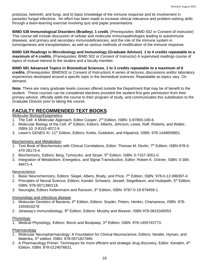protozoa, helminth, and fungi, and b) basic knowledge of the immune response and its involvement in parasitic/ fungal infections. An effort has been made to increase clinical relevance and problem-solving skills through a team-learning exercise involving quiz and paper presentations.

**BIMD 538 Immunological Disorders (Bradley). 1 credit.** (Prerequisites: BIMD 502 or Consent of Instructor) This course will include discussion of cellular and molecular immunopathologies leading to autoimmune diseases, and primary and secondary immunodeficiencies; and the role of the immune system in tumorigeneses and transplantation, as well as various methods of modification of the immune response.

**BIMD 539 Readings in Microbiology and Immunology (Graduate Advisor)**. **1 to 4 credits repeatable to a maximum of 4 credits.** (Prerequisites: BIMD 502 or Consent of Instructor) A supervised readings course of topics of mutual interest to the student and a faculty member.

**BIMD 591 Advanced Topics in Biomedical Sciences. 1 to 3 credits repeatable to a maximum of 6 credits.** (Prerequisites: BIMD502 or Consent of Instruction) A series of lectures, discussions and/or laboratory experiences developed around a specific topic in the biomedical sciences. Repeatable as topics vary. On demand.

**Note**: There are many graduate levels courses offered outside the Department that may be of benefit to the student. These courses can be considered electives provided the student first gets permission from their primary advisor, officially adds the course to their program of study, and communicates this substitution to the Graduate Director prior to taking the course.

# **FACULTY RECOMMENDED TEXT BOOKS**

## Molecular Biology/Epigenetics

- 1. The Cell: A Molecular Approach, Editor Cooper, 2<sup>nd</sup> Edition, ISBN: 0-87893-106-6.
- 2. Molecular Biology of the Cell, 4<sup>th</sup> Edition, Editors: Alberts, Johnson, Lewis, Raff, Roberts, and Walter, ISBN-10: 0-8153-4072-9.
- 3. Lewin's GENES XI, 11<sup>th</sup> Edition, Editors: Krebs, Goldstein, and Kilpatrick, ISBN: 978-1449659851.

## Biochemistry and Metabolism

- 1. Text Book of Biochemistry with Clinical Correlations, Editor: Thomas M. Devlin, 7<sup>th</sup> Edition, ISBN:978-0-470-28173-4.
- 2. Biochemistry, Editors: Berg, Tymoczko, and Stryer, 5<sup>th</sup> Edition, ISBN: 0-7167-3051-0.
- 3. Integration of Metabolism, Energetics, and Signal Transduction, Editor: Robert K. Ockner, ISBN: 0-306- 48471-4.

#### Neuroscience

- 1. Basic Neurochemistry, Editors: Siegel, Albers, Brady, and Price, 7<sup>th</sup> Edition, ISBN: 978-0-12-088397-4.
- 2. Principles of Neural Science, Editors: Kandel, Schwartz, Jessell, Siegelbaum, and Hudspeth, 5th Edition, ISBN: 978-0071390118.
- 3. Neuroglia, Editors Kettenmann and Ransom, 3<sup>rd</sup> Edition, ISBN: 9787-0-19-979459-1.

#### Immunology and infectious disease

- 1. Molecular Genetics of Bacteria, 4<sup>th</sup> Edition, Editors: Snyder, Peters, Henkin, Champness, ISBN: 978-1555816278
- 2. Janeway's Immunobiology, 9<sup>th</sup> Edition, Editors: Murphy and Weaver, ISBN 978-0815345053

#### **Physiology**

1. Medical Physiology, Editors: Boron and Boulpaep, 3rd Edition, ISBN: 978-1455743773.

#### Pharmacology

- 1. Molecular Neuropharmacology: A Foundation for Clinical Neuroscience, Editors: Nestler, Hyman, and Malenka, 3rd edition, ISBN: 978-0071827690.
- 2. A Pharmacology Primer: Techniques for more efficient and strategic drug discovery, Editor: Kenakin, 4<sup>th</sup> Edition, ISBN: 978-0124076631.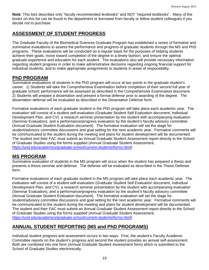**Note**: This lists describes only "faculty recommended textbooks" and NOT "required textbooks". Many of the books on this list can be found in the department or borrowed from faculty or fellow student colleagues if you decide not to purchase.

# **ASSESSMENT OF STUDENT PROGRESS**

The Graduate Faculty of the Biomedical Sciences Graduate Program has established a series of formative and summative evaluations to assess the performance and progress of graduate students through the MS and PhD programs. These evaluations will be conducted on a regular basis for the purposes of helping students achieve their goals, move toward completion of the degree in a timely fashion, and ensure the optimal graduate experience and education for each student. The evaluations also will provide necessary information regarding student progress in order to make administrative decisions regarding ongoing financial support for individual students, and to make appropriate assignments to students in areas of responsibility.

## **PhD PROGRAM**

Summative evaluations of students in the PhD program will occur at two points in the graduate student's career. 1) Students will take the Comprehensive Examination before completion of their second full year of graduate school; performance will be assessed as described in the Comprehensive Examination document. 2) Students will prepare a dissertation and present a formal defense prior to awarding of the degree. The dissertation defense will be evaluated as described in the Dissertation Defense form.

Formative evaluations of each graduate student in the PhD program will take place each academic year. The evaluation will consist of a student self-evaluation (Graduate Student Self Evaluation document, Individual Development Plan, and CV), a research seminar presentation by the student with accompanying evaluation (Seminar Evaluation), and a performance/progress evaluation by the student's faculty advisory committee (Annual Graduate Student Evaluation document). The formative evaluation will set the stage for student/advisory committee discussions and goal setting for the next academic year. Formative comments will be communicated to the student during the meeting and plans for student development will be documented. The student and their FAC must submit an Annual Graduate Student Assessment report directly to the School of Graduate Studies using the forms supplied (Annual Graduate Student Assessment, [https://und.edu/academics/graduate-school/current-students/forms.html\)](https://und.edu/academics/graduate-school/current-students/forms.html).

## **MS PROGRAM**

Summative evaluation of students in the MS program will occur when the student has prepared a thesis and presents a thesis seminar and defense. The defense will be evaluated as described in the Thesis Defense form.

Formative evaluations of each graduate student in the MS program will take place each academic year. The evaluation will consist of a student self-evaluation (Graduate Student Self Evaluation document, Individual Development Plan, and CV), a research seminar presentation by the student with accompanying evaluation (Seminar Evaluation), and a performance/progress evaluation by the student's faculty advisory committee (Annual Graduate Student Evaluation document). The formative evaluation will set the stage for student/advisory committee discussions and goal setting for the next academic year. Formative comments will be communicated to the student during the meeting and plans for student development will be documented. The student and their FAC must submit an Annual Graduate Student Assessment report directly to the School of Graduate Studies using the forms supplied (Annual Graduate Student Assessment, [https://und.edu/academics/graduate-school/current-students/forms.html\)](https://und.edu/academics/graduate-school/current-students/forms.html).

# **ANNUAL STUDENT REPORTING (MS and PhD PROGRAMS)**

Individual student progress and assessment occurs in two ways. First, the student's Faculty Academic Committee reports on the student's progress and second the student provides an annual self-assessment. Both are combined into one form (Annual Graduate Student Assessment form) which is submitted to the School of Graduate Studies electronically.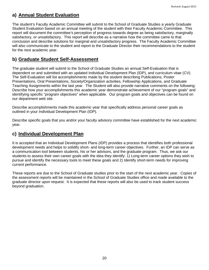# **a) Annual Student Evaluation**

The student's Faculty Academic Committee will submit to the School of Graduate Studies a yearly Graduate Student Evaluation based on an annual meeting of the student with their Faculty Academic Committee. This report will document the committee's perception of progress towards degree as being satisfactory, marginally satisfactory, or unsatisfactory. This report will describe as a narrative how the committee came to that conclusion and describe solutions for marginal and unsatisfactory progress. The Faculty Academic Committee will also communicate to the student and report to the Graduate Director their recommendations to the student for the next academic year.

# **b) Graduate Student Self-Assessment**

The graduate student will submit to the School of Graduate Studies an annual Self-Evaluation that is dependent on and submitted with an updated Individual Development Plan (IDP), and curriculum vitae (CV). The Self-Evaluation will list accomplishments made by the student describing Publications, Poster Presentations, Oral Presentations, Society/Organization activities, Fellowship Applications, and Graduate Teaching Assignments within the last year. The Student will also provide narrative comments on the following: Describe how your accomplishments this academic year demonstrate achievement of our "program goals" and identifying specific "program objectives" when applicable. Our program goals and objectives can be found on our department web site.

Describe accomplishments made this academic year that specifically address personal career goals as outlined in your Individual Development Plan (IDP).

Describe specific goals that you and/or your faculty advisory committee have established for the next academic year.

## **c) Individual Development Plan**

It is accepted that an Individual Development Plans (IDP) provides a process that identifies both professional development needs and helps to solidify short- and long-term career objectives. Further, an IDP can serve as a communication tool between students, his or her advisors, and the graduate program. Thus, we ask our students to assess their own career goals with the idea they identify: 1) Long-term career options they wish to pursue and identify the necessary tools to meet these goals and 2) Identify short-term needs for improving current performance.

These reports are due to the School of Graduate studies prior to the start of the next academic year. Copies of the assessment reports will be maintained in the School of Graduate Studies office and made available to the graduate director upon request. It is expected that these reports will also be used to track student success beyond graduation.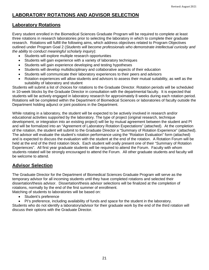# **LABORATORY ROTATIONS AND ADVISOR SELECTION**

## **Laboratory Rotations**

Every student enrolled in the Biomedical Sciences Graduate Program will be required to complete at least three rotations in research laboratories prior to selecting the laboratory in which to complete their graduate research. Rotations will fulfill the following aims, which address objectives related to Program Objectives outlined under Program Goal 2 (*Students will become professionals who demonstrate intellectual curiosity and the ability to conduct meaningful scholarly inquiry*):

- Students will explore multiple research opportunities
- Students will gain experience with a variety of laboratory techniques
- Students will gain experience developing and testing hypotheses
- Students will develop multidisciplinary and collaborative aspects of their education
- Students will communicate their laboratory experiences to their peers and advisors
- Rotation experiences will allow students and advisors to assess their mutual suitability, as well as the suitability of laboratory and student

Students will submit a list of choices for rotations to the Graduate Director. Rotation periods will be scheduled in 10-week blocks by the Graduate Director in consultation with the departmental faculty. It is expected that students will be actively engaged in laboratory research for approximately 8 weeks during each rotation period. Rotations will be completed within the Department of Biomedical Sciences or laboratories of faculty outside the Department holding adjunct or joint positions in the Department.

While rotating in a laboratory, the student will be expected to be actively involved in research and/or educational activities supported by the laboratory. The type of project (original research, technique development, or integration into an existing project) will be by mutual agreement between the student and PI and will be formalized into an "Agreement of Laboratory Rotation Expectations" (attached). At the completion of the rotation, the student will submit to the Graduate Director a "Summary of Rotation Experience" (attached). The advisor will evaluate the student's rotation performance using the "Rotation Evaluation" form (attached) and is expected to discuss the evaluation with the student at the end of the rotation. A Rotation Forum will be held at the end of the third rotation block. Each student will orally present one of their "Summary of Rotation Experiences". All first year graduate students will be required to attend the Forum. Faculty with whom students rotated will be strongly encouraged to attend the Forum. All other graduate students and faculty will be welcome to attend.

# **Advisor Selection**

The Graduate Director for the Department of Biomedical Sciences Graduate Program will serve as the temporary advisor for all incoming students until they have completed rotations and selected their dissertation/thesis advisor. Dissertation/thesis advisor selections will be finalized at the completion of rotations, normally by the end of the first summer of enrollment.

Matching of students to laboratories will be based on:

- Student's preference
- PI's preference, including availability of funds and space for the student in the laboratory.

Students who do not identify a laboratory/advisor for their graduate work by the end of the third rotation will discuss their options with the Graduate Director.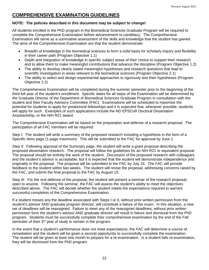# **COMPREHENSIVE EXAMINATION GUIDELINES**

#### **NOTE: The policies described in this document may be subject to change!**

All students enrolled in the PhD program in the Biomedical Sciences Graduate Program will be required to complete the Comprehensive Examination before advancement to candidacy. The Comprehensive Examination will serve as a summative assessment of the skills and knowledge that the student has gained. The aims of the Comprehensive Examination are that the student demonstrate:

- Breadth of knowledge in the biomedical sciences to form a solid basis for scholarly inquiry and flexibility in their career path (Program Objective 1.1)
- Depth and integration of knowledge in specific subject areas of their choice to support their research and to allow them to make meaningful contributions that advance the discipline (Program Objective 1.2)
- The ability to develop clearly stated meaningful hypotheses and research questions that lead to scientific investigation in areas relevant to the biomedical sciences (Program Objective 2.1)
- The ability to select and design experimental approaches to rigorously test their hypotheses (Program Objective 2.2)

The Comprehensive Examination will be completed during the summer semester prior to the beginning of the third full year of the student's enrollment. Specific dates for all steps of the Examination will be determined by the Graduate Director of the Department of Biomedical Sciences Graduate Program in consultation with the student and their Faculty Advisory Committee (FAC). Examinations will be scheduled to maximize the potential for students to apply for predoctoral fellowships and it is expected that, whenever possible, students will apply for such. Examples of such applications include the ND EPSCoR Doctoral Dissertation Assistantship, or the NIH R21 award.

The Comprehensive Examination will be based on the preparation and defense of a research proposal. The participation of all FAC members will be required.

Step I: The student will write a summary of the proposed research including a hypothesis in the form of a Specific Aims page (1-page maximum). This will be submitted to the FAC for approval by June 1.

Step II: Following approval of the Summary page, the student will write a grant proposal describing the proposed dissertation research. The proposal will follow the guidelines for an NIH R21 or equivalent proposal. The proposal should be entirely the work of the student. Discussion of the proposed research with colleagues and the student's advisor is acceptable, but it is expected that the student will demonstrate independence and originality in the proposal. The proposal will be submitted to the FAC by July 15. The FAC will provide feedback to the student within two weeks. The student will revise the proposal, addressing concerns raised by the FAC, and submit the final proposal to the FAC by August 15.

Step III: For the oral defense of the proposal, the student will present a seminar of the research proposal, open to anyone. Following the seminar, the FAC will assess the student's ability to meet the objectives described above. The FAC will decide whether the student meets the expectations required to warrant successful completion of the Comprehensive Examination.

If a student misses any the deadline associated with Steps I or II, without prior written permission from the student's advisor AND graduate program director, will constitute a failure of the exam. In this situation, a new set of deadlines will be reassigned. Failure to meet any of the reassigned deadlines, without prior written permission form the student's advisor AND graduate director will result in failure and dismissal from the PhD program. Students must be successfully complete their comprehensive examination by the end of the Fall semester of their 3<sup>rd</sup> year of study to remain in the program.

In the event that a student's performance does not meet expectations, the FAC will determine a course of remediation and the student will be given a second opportunity to successfully complete the examination. The student will be given at least one month to prepare for a re-examination. Is a student fails re-examination, they will be dismissed from the PhD program.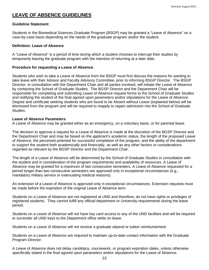# **LEAVE OF ABSENCE GUIDELINES**

#### **Guideline Statement**

Students in the Biomedical Sciences Graduate Program (BSGP) may be granted a "Leave of Absence" on a case-by-case basis depending on the needs of the graduate program and/or the student.

## **Definition: Leave of Absence**

A "Leave of Absence" is a period of time during which a student chooses to interrupt their studies by temporarily leaving the graduate program with the intention of returning at a later date.

## **Procedure for requesting a Leave of Absence**

Students who wish to take a Leave of Absence from the BSGP must first discuss the reasons for wanting to take leave with their Advisor and Faculty Advisory Committee, prior to informing BSGP Director. The BSGP Director, in consultation with the Department Chair and all parties involved, will initiate the Leave of Absence by contacting the School of Graduate Studies. The BGSP Director and the Department Chair will be responsible for completing and submitting Leave of Absence request forms to the School of Graduate Studies and notifying the student of the final agreed upon parameters and/or stipulations for the Leave of Absence. Degree and certificate seeking students who are found to be Absent without Leave (explained below) will be dismissed from the program and will be required to reapply to regain admission into the School of Graduate Studies.

## **Leave of Absence Parameters**

A Leave of Absence may be granted either as an emergency, on a voluntary basis, or for parental leave.

The decision to approve a request for a Leave of Absence is made at the discretion of the BGSP Director and the Department Chair and may be based on the applicant's academic status, the length of the proposed Leave of Absence, the perceived potential for successful completion of the program, and the ability of the department to support the student both academically and financially, as well as any other factors or considerations regarded as relevant by the BGSP Director and the Department Chair.

The length of a Leave of Absence will be determined by the School of Graduate Studies in consultation with the student and in consideration of the program requirements and availability of resources. A Leave of Absence may be granted for a maximum of two consecutive semesters. A Leave of Absence requested for a period longer than two consecutive semesters are approved only in exceptional circumstances (e.g., mandatory military service or extenuating medical reasons).

An extension of a Leave of Absence is approved only in exceptional circumstances. Extension requests must be made before the expiration of the original Leave of Absence term.

Students on a Leave of Absence are not registered at UND and therefore, do not have rights or privileges of registered students. They cannot fulfill any official department or University requirements during the leave period.

Students on a Leave of Absence will not have key card access to any of the UND facilities and will be required to surrender all UND keys to the Department office while on leave.

Students on a Leave of Absence will not receive a graduate stipend or tuition reimbursement.

Students on a Leave of Absence are required to maintain up-to-date contact information with the Graduate Program Director.

A Leave of Absence does not delay candidacy, coursework, or program expiration dates, unless otherwise specifically stated in the final agreed upon parameters and/or stipulations for the Leave of Absence.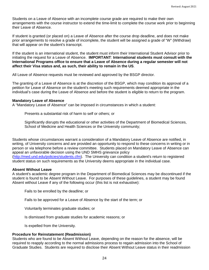Students on a Leave of Absence with an incomplete course grade are required to make their own arrangements with the course instructor to extend the time-limit to complete the course work prior to beginning their Leave of Absence.

If student is granted (or placed on) a Leave of Absence after the course drop deadline, and does not make prior arrangements to resolve a grade of incomplete, the student will be assigned a grade of "W" (Withdraw) that will appear on the student's transcript.

If the student is an international student, the student must inform their International Student Advisor prior to initiating the request for a Leave of Absence. **IMPORTANT**: **International students must consult with the International Programs office to ensure that a Leave of Absence during a regular semester will not affect their Visa status and, as such, their ability to remain in the US**.

All Leave of Absence requests must be reviewed and approved by the BSGP director.

The granting of a Leave of Absence is at the discretion of the BSGP, which may condition its approval of a petition for Leave of Absence on the student's meeting such requirements deemed appropriate in the individual's case during the Leave of Absence and before the student is eligible to return to the program.

#### **Mandatory Leave of Absence**

A "Mandatory Leave of Absence" can be imposed in circumstances in which a student:

Presents a substantial risk of harm to self or others; or

Significantly disrupts the educational or other activities of the Department of Biomedical Sciences, School of Medicine and Health Sciences or the University community;

Students whose circumstances warrant a consideration of a Mandatory Leave of Absence are notified, in writing, of University concerns and are provided an opportunity to respond to these concerns in writing or in person or via telephone before a review committee. Students placed on Mandatory Leave of Absence can appeal an unfavorable decision using the UND SMHS grievance policy [\(http://med.und.edu/policies/students.cfm\)](http://med.und.edu/policies/students.cfm). The University can condition a student's return to registered student status on such requirements as the University deems appropriate in the individual case.

#### **Absent Without Leave**

A student's academic degree program in the Department of Biomedical Sciences may be discontinued if the student is found to be Absent Without Leave. For purposes of these guidelines, a student may be found Absent without Leave if any of the following occur (this list is not exhaustive):

Fails to be enrolled by the deadline; or

Fails to be approved for a Leave of Absence by the start of the term; or

Voluntarily terminates graduate studies; or

Is dismissed from graduate studies for academic reasons; or

Is expelled from the University.

## **Procedure for Reinstatement (Readmission)**

Students who are found to be Absent Without Leave, depending on the reason for the absence, will be required to reapply according to the normal admissions process to regain admission into the School of Graduate Studies. Students are required to disclose their Absent Without Leave status in their readmission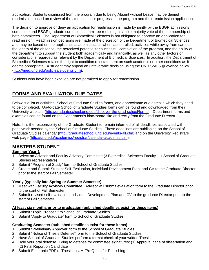application. Students dismissed from the program due to being Absent without Leave may be denied readmission based on review of the student's prior progress in the program and their readmission application.

The decision to approve or deny an application for readmission is made by jointly by the BSGP admissions committee and BSGP graduate curriculum committee requiring a simple majority vote of the membership of both committees. The Department of Biomedical Sciences is not obligated to approve an application for readmission. Readmission decisions are made at the discretion of the Department of Biomedical Sciences and may be based on the applicant's academic status when last enrolled, activities while away from campus, the length of the absence, the perceived potential for successful completion of the program, and the ability of the department to support the student both academically and financially, as well as any other factors or considerations regarded as relevant by the Department of Biomedical Sciences. In addition, the Department of Biomedical Sciences retains the right to condition reinstatement on such academic or other conditions as it deems appropriate. A student may appeal an unfavorable decision using the UND SMHS grievance policy [\(http://med.und.edu/policies/students.cfm\)](http://med.und.edu/policies/students.cfm).

Students who have been expelled are not permitted to apply for readmission.

# **FORMS AND EVALUATION DUE DATES**

Below is a list of activities, School of Graduate Studies forms, and approximate due dates in which they need to be completed. Up-to-date School of Graduate Studies forms can be found and downloaded from their University web site [\(http://graduateschool.und.edu/discover-the-grad-school/forms\)](http://graduateschool.und.edu/discover-the-grad-school/forms). Department forms and examples can be found on the Department's blackboard site or directly from the Graduate Director.

Note: It is the responsibility of the Graduate Student to remain informed of all deadlines associated with paperwork needed by the School of Graduate Studies. These deadlines are publishing on the School of Graduate Studies calendar [\(http://graduateschool.und.edu/events-all.cfm\)](http://graduateschool.und.edu/events-all.cfm) and on the University Registrars web page [\(http://und.edu/academics/registrar/calendar-academic.cfm\)](http://und.edu/academics/registrar/calendar-academic.cfm).

## **MASTERS STUDENT**

## **Summer Year 1**

- 1. Select an Advisor and Faculty Advisory Committee (3 Biomedical Sciences Faculty + 1 School of Graduate Studies representative)
- 2. Submit "Program of Study" form to School of Graduate Studies
- 3. Create and Submit Student Self-Evaluation, Individual Development Plan, and CV to the Graduate Director prior to the start of Fall Semester

## **Yearly (typically late Spring or Summer Semester)**

- 1. Meet with Faculty Advisory Committee. Advisor will submit evaluation form to the Graduate Director prior to the start of Fall Semester.
- 2. Submit revised self-evaluation, Individual Development Plan and CV to the graduate Director prior to the start of Fall Semester.

## **At least six months prior to graduation (published deadlines exist for these items)**

- 1. Submit "Topic Proposal" to School of Graduate Studies
- 2. Submit "Apply to Graduate" form to School of Graduate Studies

#### **Graduating Semester (published deadlines exist for these items)**

- 1. Submit "Preliminary Approval" form to the School of Graduate Studies
- 2. Submit "Notice of Thesis Defense" form to the School of Graduate Studies
- 3. Have School of Graduate Studies perform a format check of your written Thesis
- 4. Hold your oral defense. Bring to defense for committee signatures: (1) Approval page of dissertation and (2) Final Report on Candidate
- 5. Submit Electronic PDF of Thesis to UMI/ProQuest for Publishing